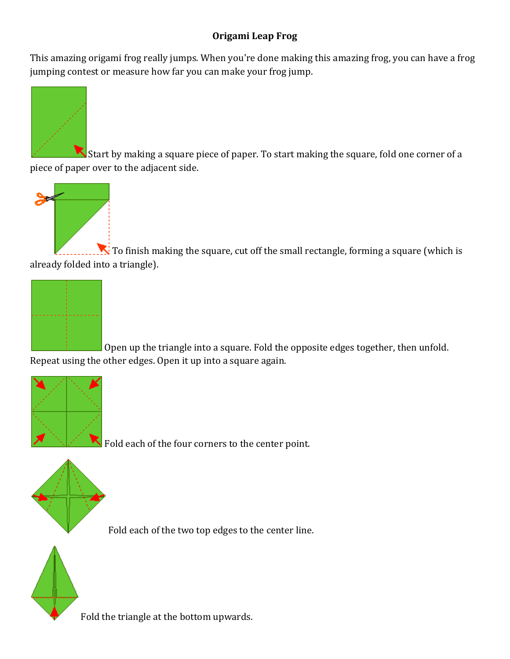## **Origami Leap Frog**

This amazing origami frog really jumps. When you're done making this amazing frog, you can have a frog jumping contest or measure how far you can make your frog jump.



Start by making a square piece of paper. To start making the square, fold one corner of a piece of paper over to the adjacent side.



To finish making the square, cut off the small rectangle, forming a square (which is already folded into a triangle).



Open up the triangle into a square. Fold the opposite edges together, then unfold. Repeat using the other edges. Open it up into a square again.



Fold each of the four corners to the center point.



Fold each of the two top edges to the center line.



Fold the triangle at the bottom upwards.